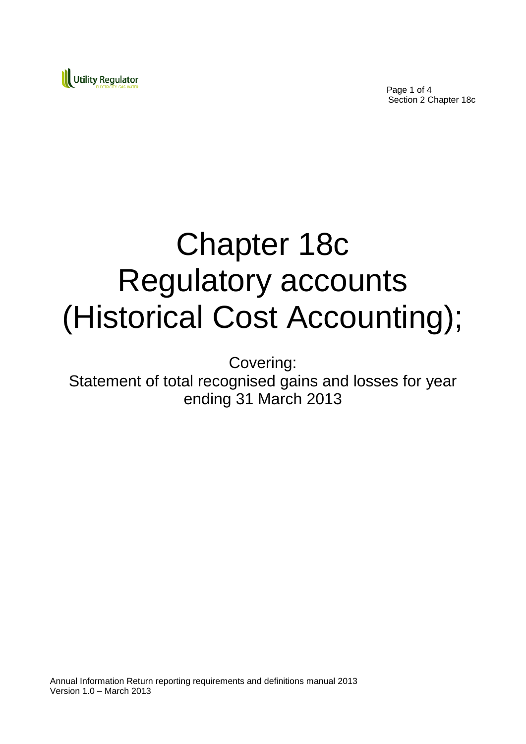

Page 1 of 4 Section 2 Chapter 18c

# Chapter 18c Regulatory accounts (Historical Cost Accounting);

Covering: Statement of total recognised gains and losses for year ending 31 March 2013

Annual Information Return reporting requirements and definitions manual 2013 Version 1.0 – March 2013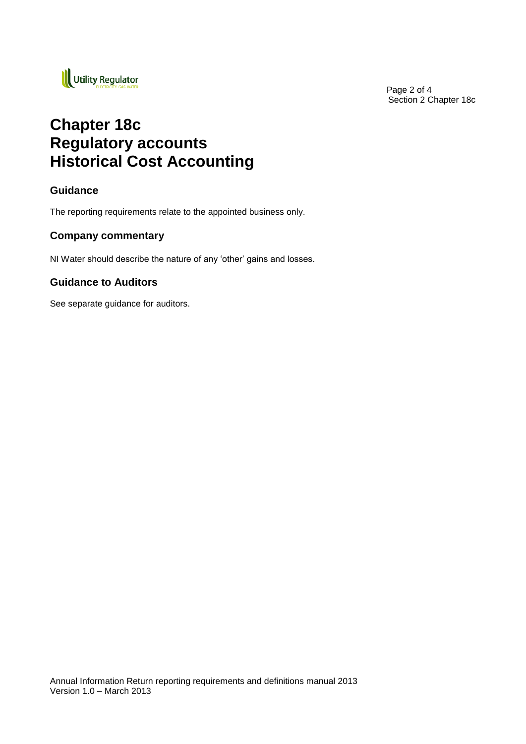

Page 2 of 4 Section 2 Chapter 18c

## **Chapter 18c Regulatory accounts Historical Cost Accounting**

#### **Guidance**

The reporting requirements relate to the appointed business only.

#### **Company commentary**

NI Water should describe the nature of any 'other' gains and losses.

#### **Guidance to Auditors**

See separate guidance for auditors.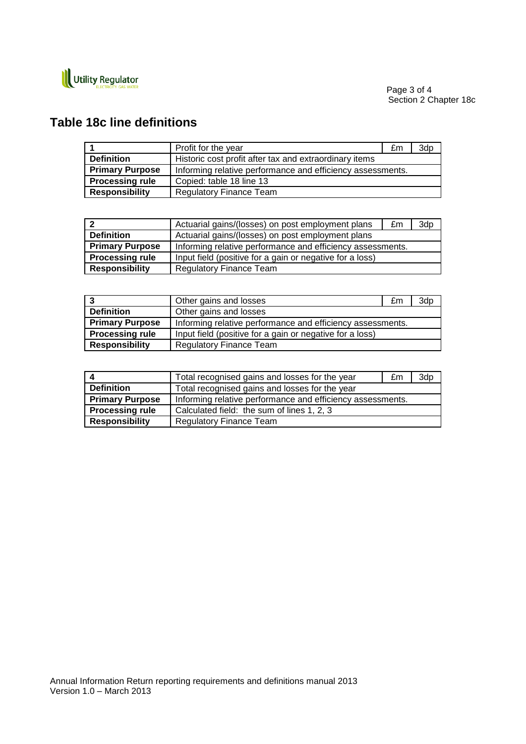

### **Table 18c line definitions**

|                        | Profit for the year                                        | £m | 3dp |
|------------------------|------------------------------------------------------------|----|-----|
| <b>Definition</b>      | Historic cost profit after tax and extraordinary items     |    |     |
| <b>Primary Purpose</b> | Informing relative performance and efficiency assessments. |    |     |
| <b>Processing rule</b> | Copied: table 18 line 13                                   |    |     |
| <b>Responsibility</b>  | <b>Regulatory Finance Team</b>                             |    |     |

|                        | Actuarial gains/(losses) on post employment plans          | £m | 3dp |
|------------------------|------------------------------------------------------------|----|-----|
| <b>Definition</b>      | Actuarial gains/(losses) on post employment plans          |    |     |
| <b>Primary Purpose</b> | Informing relative performance and efficiency assessments. |    |     |
| <b>Processing rule</b> | Input field (positive for a gain or negative for a loss)   |    |     |
| <b>Responsibility</b>  | <b>Regulatory Finance Team</b>                             |    |     |

|                        | Other gains and losses                                     | £m | 3dp |
|------------------------|------------------------------------------------------------|----|-----|
| <b>Definition</b>      | Other gains and losses                                     |    |     |
| <b>Primary Purpose</b> | Informing relative performance and efficiency assessments. |    |     |
| <b>Processing rule</b> | Input field (positive for a gain or negative for a loss)   |    |     |
| <b>Responsibility</b>  | <b>Regulatory Finance Team</b>                             |    |     |

|                        | Total recognised gains and losses for the year             | £m | 3dp |
|------------------------|------------------------------------------------------------|----|-----|
| <b>Definition</b>      | Total recognised gains and losses for the year             |    |     |
| <b>Primary Purpose</b> | Informing relative performance and efficiency assessments. |    |     |
| <b>Processing rule</b> | Calculated field: the sum of lines 1, 2, 3                 |    |     |
| <b>Responsibility</b>  | <b>Regulatory Finance Team</b>                             |    |     |